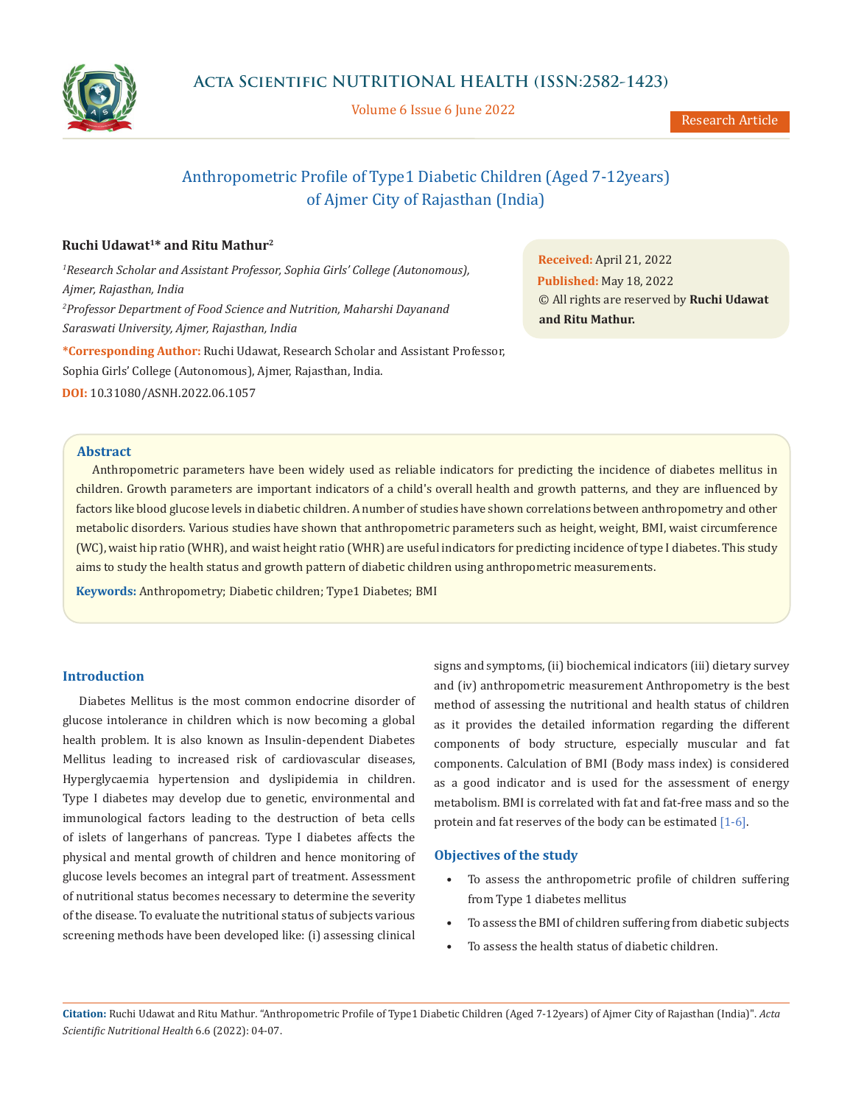

Volume 6 Issue 6 June 2022

Research Article

# Anthropometric Profile of Type1 Diabetic Children (Aged 7-12years) of Ajmer City of Rajasthan (India)

# **Ruchi Udawat1\* and Ritu Mathur2**

*1 Research Scholar and Assistant Professor, Sophia Girls' College (Autonomous), Ajmer, Rajasthan, India 2 Professor Department of Food Science and Nutrition, Maharshi Dayanand Saraswati University, Ajmer, Rajasthan, India* **\*Corresponding Author:** Ruchi Udawat, Research Scholar and Assistant Professor,

Sophia Girls' College (Autonomous), Ajmer, Rajasthan, India.

**DOI:** [10.31080/ASNH.2022.06.1057](https://actascientific.com/ASNH/pdf/ASNH-06-1057.pdf)

**Received:** April 21, 2022 **Published:** May 18, 2022 © All rights are reserved by **Ruchi Udawat and Ritu Mathur.**

### **Abstract**

Anthropometric parameters have been widely used as reliable indicators for predicting the incidence of diabetes mellitus in children. Growth parameters are important indicators of a child's overall health and growth patterns, and they are influenced by factors like blood glucose levels in diabetic children. A number of studies have shown correlations between anthropometry and other metabolic disorders. Various studies have shown that anthropometric parameters such as height, weight, BMI, waist circumference (WC), waist hip ratio (WHR), and waist height ratio (WHR) are useful indicators for predicting incidence of type I diabetes. This study aims to study the health status and growth pattern of diabetic children using anthropometric measurements.

**Keywords:** Anthropometry; Diabetic children; Type1 Diabetes; BMI

# **Introduction**

Diabetes Mellitus is the most common endocrine disorder of glucose intolerance in children which is now becoming a global health problem. It is also known as Insulin-dependent Diabetes Mellitus leading to increased risk of cardiovascular diseases, Hyperglycaemia hypertension and dyslipidemia in children. Type I diabetes may develop due to genetic, environmental and immunological factors leading to the destruction of beta cells of islets of langerhans of pancreas. Type I diabetes affects the physical and mental growth of children and hence monitoring of glucose levels becomes an integral part of treatment. Assessment of nutritional status becomes necessary to determine the severity of the disease. To evaluate the nutritional status of subjects various screening methods have been developed like: (i) assessing clinical signs and symptoms, (ii) biochemical indicators (iii) dietary survey and (iv) anthropometric measurement Anthropometry is the best method of assessing the nutritional and health status of children as it provides the detailed information regarding the different components of body structure, especially muscular and fat components. Calculation of BMI (Body mass index) is considered as a good indicator and is used for the assessment of energy metabolism. BMI is correlated with fat and fat-free mass and so the protein and fat reserves of the body can be estimated [1-6].

#### **Objectives of the study**

- To assess the anthropometric profile of children suffering from Type 1 diabetes mellitus
- To assess the BMI of children suffering from diabetic subjects
- To assess the health status of diabetic children.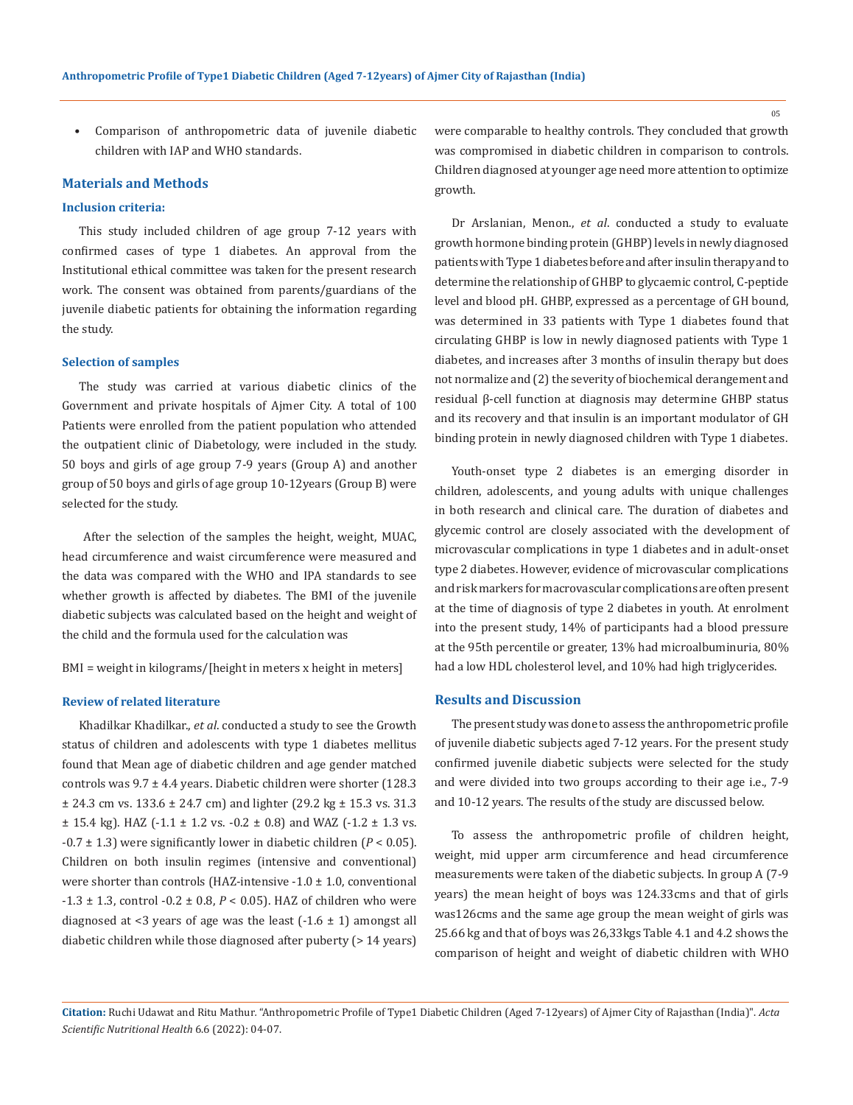• Comparison of anthropometric data of juvenile diabetic children with IAP and WHO standards.

#### **Materials and Methods**

#### **Inclusion criteria:**

This study included children of age group 7-12 years with confirmed cases of type 1 diabetes. An approval from the Institutional ethical committee was taken for the present research work. The consent was obtained from parents/guardians of the juvenile diabetic patients for obtaining the information regarding the study.

#### **Selection of samples**

The study was carried at various diabetic clinics of the Government and private hospitals of Ajmer City. A total of 100 Patients were enrolled from the patient population who attended the outpatient clinic of Diabetology, were included in the study. 50 boys and girls of age group 7-9 years (Group A) and another group of 50 boys and girls of age group 10-12years (Group B) were selected for the study.

 After the selection of the samples the height, weight, MUAC, head circumference and waist circumference were measured and the data was compared with the WHO and IPA standards to see whether growth is affected by diabetes. The BMI of the juvenile diabetic subjects was calculated based on the height and weight of the child and the formula used for the calculation was

BMI = weight in kilograms/[height in meters x height in meters]

#### **Review of related literature**

Khadilkar Khadilkar., *et al*. conducted a study to see the Growth status of children and adolescents with type 1 diabetes mellitus found that Mean age of diabetic children and age gender matched controls was 9.7 ± 4.4 years. Diabetic children were shorter (128.3  $\pm$  24.3 cm vs. 133.6  $\pm$  24.7 cm) and lighter (29.2 kg  $\pm$  15.3 vs. 31.3  $\pm$  15.4 kg). HAZ (-1.1  $\pm$  1.2 vs. -0.2  $\pm$  0.8) and WAZ (-1.2  $\pm$  1.3 vs.  $-0.7 \pm 1.3$ ) were significantly lower in diabetic children ( $P < 0.05$ ). Children on both insulin regimes (intensive and conventional) were shorter than controls (HAZ-intensive  $-1.0 \pm 1.0$ , conventional  $-1.3 \pm 1.3$ , control  $-0.2 \pm 0.8$ ,  $P < 0.05$ ). HAZ of children who were diagnosed at <3 years of age was the least  $(-1.6 \pm 1)$  amongst all diabetic children while those diagnosed after puberty (> 14 years) were comparable to healthy controls. They concluded that growth was compromised in diabetic children in comparison to controls. Children diagnosed at younger age need more attention to optimize growth.

[Dr Arslanian,](https://onlinelibrary.wiley.com/action/doSearch?ContribAuthorRaw=Arslanian%2C+SA) [Menon](https://onlinelibrary.wiley.com/action/doSearch?ContribAuthorRaw=Menon%2C+RK)., *et al*. conducted a study to evaluate growth hormone binding protein (GHBP) levels in newly diagnosed patients with Type 1 diabetes before and after insulin therapy and to determine the relationship of GHBP to glycaemic control, C-peptide level and blood pH. GHBP, expressed as a percentage of GH bound, was determined in 33 patients with Type 1 diabetes found that circulating GHBP is low in newly diagnosed patients with Type 1 diabetes, and increases after 3 months of insulin therapy but does not normalize and (2) the severity of biochemical derangement and residual β-cell function at diagnosis may determine GHBP status and its recovery and that insulin is an important modulator of GH binding protein in newly diagnosed children with Type 1 diabetes.

Youth-onset type 2 diabetes is an emerging disorder in children, adolescents, and young adults with unique challenges in both research and clinical care. The duration of diabetes and glycemic control are closely associated with the development of microvascular complications in type 1 diabetes and in adult-onset type 2 diabetes. However, evidence of microvascular complications and risk markers for macrovascular complications are often present at the time of diagnosis of type 2 diabetes in youth. At enrolment into the present study, 14% of participants had a blood pressure at the 95th percentile or greater, 13% had microalbuminuria, 80% had a low HDL cholesterol level, and 10% had high triglycerides.

#### **Results and Discussion**

The present study was done to assess the anthropometric profile of juvenile diabetic subjects aged 7-12 years. For the present study confirmed juvenile diabetic subjects were selected for the study and were divided into two groups according to their age i.e., 7-9 and 10-12 years. The results of the study are discussed below.

To assess the anthropometric profile of children height, weight, mid upper arm circumference and head circumference measurements were taken of the diabetic subjects. In group A (7-9 years) the mean height of boys was 124.33cms and that of girls was126cms and the same age group the mean weight of girls was 25.66 kg and that of boys was 26,33kgs Table 4.1 and 4.2 shows the comparison of height and weight of diabetic children with WHO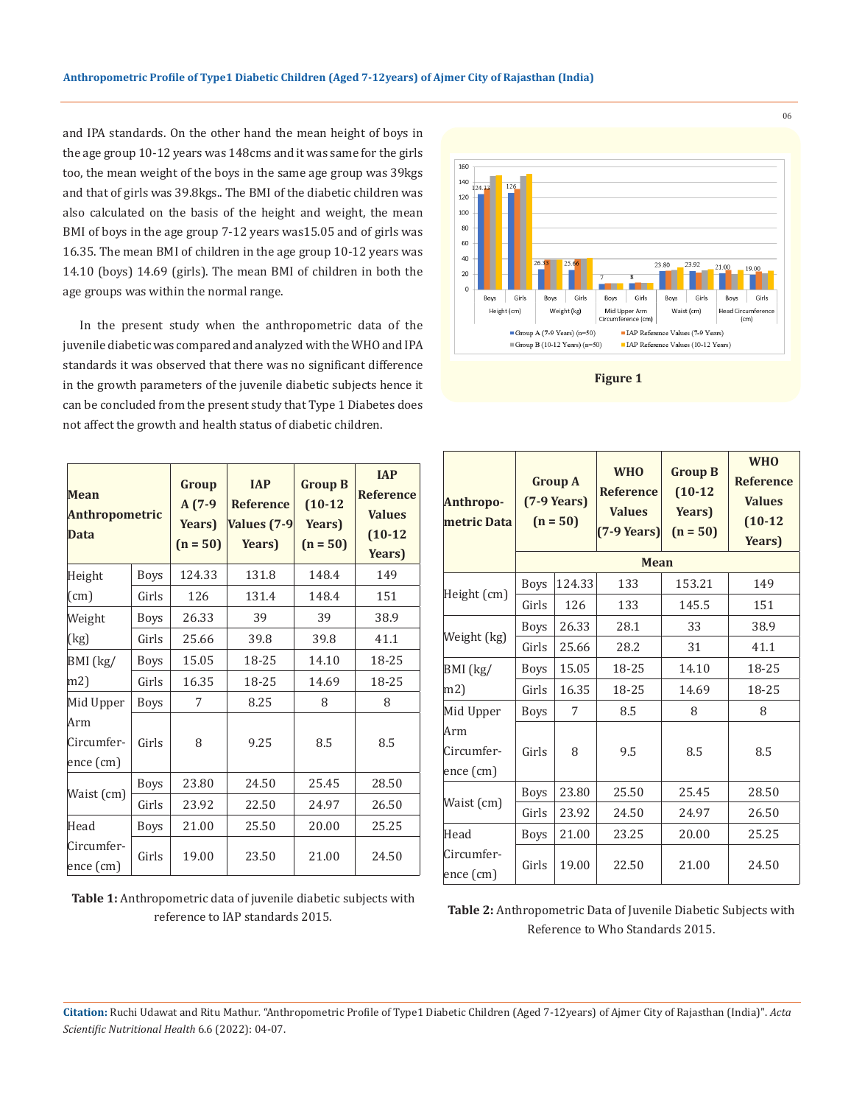and IPA standards. On the other hand the mean height of boys in the age group 10-12 years was 148cms and it was same for the girls too, the mean weight of the boys in the same age group was 39kgs and that of girls was 39.8kgs.. The BMI of the diabetic children was also calculated on the basis of the height and weight, the mean BMI of boys in the age group 7-12 years was15.05 and of girls was 16.35. The mean BMI of children in the age group 10-12 years was 14.10 (boys) 14.69 (girls). The mean BMI of children in both the age groups was within the normal range.

In the present study when the anthropometric data of the juvenile diabetic was compared and analyzed with the WHO and IPA standards it was observed that there was no significant difference in the growth parameters of the juvenile diabetic subjects hence it can be concluded from the present study that Type 1 Diabetes does not affect the growth and health status of diabetic children.

| Mean<br><b>Anthropometric</b><br>Data |             | Group<br>$A(7-9)$<br>Years)<br>$(n = 50)$ | <b>IAP</b><br><b>Reference</b><br><b>Values (7-9)</b><br>Years) | <b>Group B</b><br>$(10-12)$<br>Years)<br>$(n = 50)$ | <b>IAP</b><br><b>Reference</b><br><b>Values</b><br>$(10-12)$<br>Years) |
|---------------------------------------|-------------|-------------------------------------------|-----------------------------------------------------------------|-----------------------------------------------------|------------------------------------------------------------------------|
| Height                                | <b>Boys</b> | 124.33                                    | 131.8                                                           | 148.4                                               | 149                                                                    |
| $\left($ cm $\right)$                 | Girls       | 126                                       | 131.4                                                           | 148.4                                               | 151                                                                    |
| Weight                                | <b>Boys</b> | 26.33                                     | 39                                                              | 39                                                  | 38.9                                                                   |
| (kg)                                  | Girls       | 25.66                                     | 39.8                                                            | 39.8                                                | 41.1                                                                   |
| BMI (kg/                              | <b>Boys</b> | 15.05                                     | 18-25                                                           | 14.10                                               | 18-25                                                                  |
| m2)                                   | Girls       | 16.35                                     | 18-25                                                           | 14.69                                               | 18-25                                                                  |
| Mid Upper                             | <b>Boys</b> | 7                                         | 8.25                                                            | 8                                                   | 8                                                                      |
| Arm<br>Circumfer-<br>ence (cm)        | Girls       | 8                                         | 9.25                                                            | 8.5                                                 | 8.5                                                                    |
| Waist (cm)                            | <b>Boys</b> | 23.80                                     | 24.50                                                           | 25.45                                               | 28.50                                                                  |
|                                       | Girls       | 23.92                                     | 22.50                                                           | 24.97                                               | 26.50                                                                  |
| Head                                  | <b>Boys</b> | 21.00                                     | 25.50                                                           | 20.00                                               | 25.25                                                                  |
| Circumfer-<br>ence (cm)               | Girls       | 19.00                                     | 23.50                                                           | 21.00                                               | 24.50                                                                  |

**Table 1:** Anthropometric data of juvenile diabetic subjects with reference to IAP standards 2015.



**Figure 1**

| <b>Anthropo-</b><br>metric Data | <b>Group A</b><br>$(7-9$ Years)<br>$(n = 50)$ |        | <b>WHO</b><br><b>Reference</b><br><b>Values</b><br>$(7-9$ Years) | <b>Group B</b><br>$(10-12)$<br>Years)<br>$(n = 50)$ | <b>WHO</b><br><b>Reference</b><br><b>Values</b><br>$(10-12)$<br>Years) |  |  |
|---------------------------------|-----------------------------------------------|--------|------------------------------------------------------------------|-----------------------------------------------------|------------------------------------------------------------------------|--|--|
|                                 | <b>Mean</b>                                   |        |                                                                  |                                                     |                                                                        |  |  |
| Height (cm)                     | <b>Boys</b>                                   | 124.33 | 133                                                              | 153.21                                              | 149                                                                    |  |  |
|                                 | Girls                                         | 126    | 133                                                              | 145.5                                               | 151                                                                    |  |  |
| Weight (kg)                     | <b>Boys</b>                                   | 26.33  | 28.1                                                             | 33                                                  | 38.9                                                                   |  |  |
|                                 | Girls                                         | 25.66  | 28.2                                                             | 31                                                  | 41.1                                                                   |  |  |
| BMI (kg/                        | Boys                                          | 15.05  | 18-25                                                            | 14.10                                               | 18-25                                                                  |  |  |
| m2                              | Girls                                         | 16.35  | 18-25                                                            | 14.69                                               | 18-25                                                                  |  |  |
| Mid Upper                       | <b>Boys</b>                                   | 7      | 8.5                                                              | 8                                                   | 8                                                                      |  |  |
| Arm<br>Circumfer-<br>ence (cm)  | Girls                                         | 8      | 9.5                                                              | 8.5                                                 | 8.5                                                                    |  |  |
| Waist (cm)                      | <b>Boys</b>                                   | 23.80  | 25.50                                                            | 25.45                                               | 28.50                                                                  |  |  |
|                                 | Girls                                         | 23.92  | 24.50                                                            | 24.97                                               | 26.50                                                                  |  |  |
| Head                            | <b>Boys</b>                                   | 21.00  | 23.25                                                            | 20.00                                               | 25.25                                                                  |  |  |
| Circumfer-<br>ence (cm)         | Girls                                         | 19.00  | 22.50                                                            | 21.00                                               | 24.50                                                                  |  |  |

**Table 2:** Anthropometric Data of Juvenile Diabetic Subjects with Reference to Who Standards 2015.